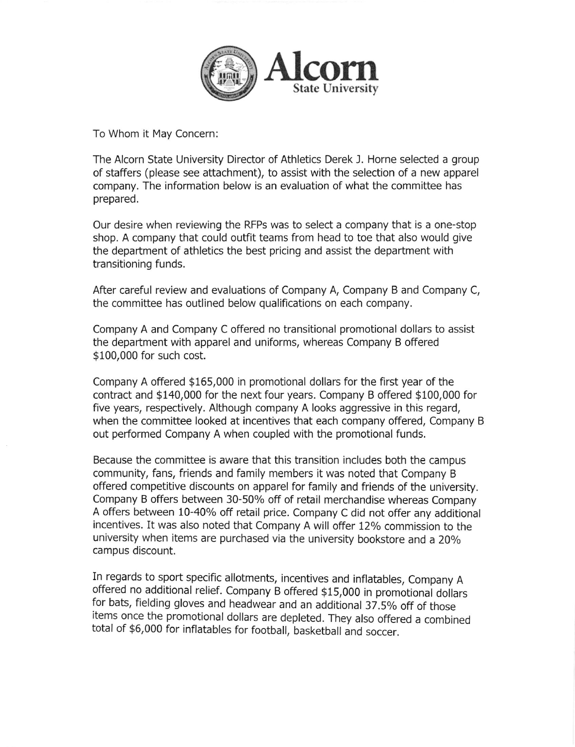

To Whom it May Concern:

The Alcorn State University Director of Athletics Derek J. Horne selected a group of staffers (please see attachment), to assist with the selection of a new apparel company. The information below is an evaluation of what the committee has prepared.

Our desire when reviewing the RFPs was to select a company that is a one-stop shop. A company that could outfit teams from head to toe that also would give the department of athletics the best pricing and assist the department with transitioning funds.

After careful review and evaluations of Company A, Company B and Company C, the committee has outlined below qualifications on each company.

Company A and Company C offered no transitional promotional dollars to assist the department with apparel and uniforms, whereas Company B offered \$100,000 for such cost.

Company A offered \$165,000 in promotional dollars for the first year of the contract and \$140,000 for the next four years. Company B offered \$100,000 for five years, respectively. Although company A looks aggressive in this regard, when the committee looked at incentives that each company offered, Company B out performed Company A when coupled with the promotional funds.

Because the committee is aware that this transition includes both the campus community, fans, friends and family members it was noted that Company B offered competitive discounts on apparel for family and friends of the university. Company B offers between 30-50% off of retail merchandise whereas Company A offers between 10-40% off retail price. Company C did not offer any additional incentives. It was also noted that Company A will offer 12% commission to the university when items are purchased via the university bookstore and a 20% campus discount.

In regards to sport specific allotments, incentives and inflatables, Company <sup>A</sup> offered no additional relief. company B offered g15,000 in promotionai doilars for bats, fielding gloves and headwear and an additional 37.5% off of those items once the promotional dollars are depleted. They also offered a combined total of \$6,000 for inflatables for football, basketball and soccer.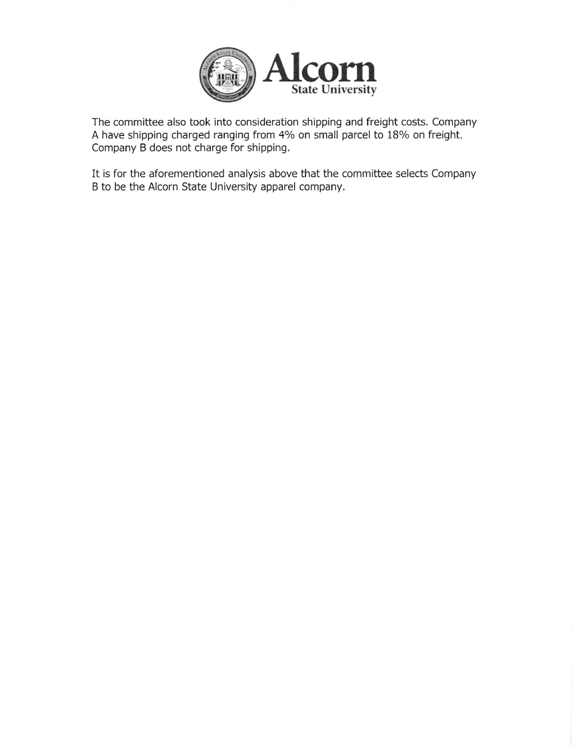

The committee also took into consideration shipping and freight costs. Company A have shipping charged ranging from 4% on small parcel to 18% on freight. Company B does not charge for shipping.

It is for the aforementioned analysis above that the committee selects Company B to be the Alcorn State University apparel company.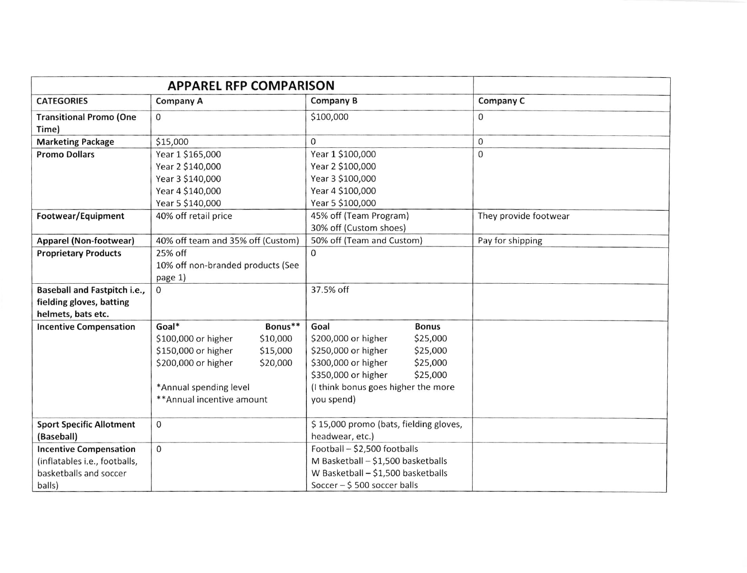|                                         | <b>APPAREL RFP COMPARISON</b>                           |          |                                                   |                      |                       |  |
|-----------------------------------------|---------------------------------------------------------|----------|---------------------------------------------------|----------------------|-----------------------|--|
| <b>CATEGORIES</b>                       | <b>Company A</b>                                        |          | Company B                                         |                      | Company C             |  |
| <b>Transitional Promo (One</b><br>Time) | 0                                                       |          | \$100,000                                         |                      | $\Omega$              |  |
| <b>Marketing Package</b>                | \$15,000                                                |          | 0                                                 |                      | 0                     |  |
| <b>Promo Dollars</b>                    | Year 1 \$165,000                                        |          | Year 1 \$100,000                                  |                      | $\mathbf{0}$          |  |
|                                         | Year 2 \$140,000                                        |          | Year 2 \$100,000                                  |                      |                       |  |
|                                         | Year 3 \$140,000                                        |          | Year 3 \$100,000                                  |                      |                       |  |
|                                         | Year 4 \$140,000                                        |          | Year 4 \$100,000                                  |                      |                       |  |
|                                         | Year 5 \$140,000                                        |          | Year 5 \$100,000                                  |                      |                       |  |
| Footwear/Equipment                      | 40% off retail price                                    |          | 45% off (Team Program)                            |                      | They provide footwear |  |
|                                         |                                                         |          | 30% off (Custom shoes)                            |                      |                       |  |
| Apparel (Non-footwear)                  | 40% off team and 35% off (Custom)                       |          | 50% off (Team and Custom)                         |                      | Pay for shipping      |  |
| <b>Proprietary Products</b>             | 25% off<br>10% off non-branded products (See<br>page 1) |          | $\Omega$                                          |                      |                       |  |
|                                         |                                                         |          |                                                   |                      |                       |  |
|                                         |                                                         |          |                                                   |                      |                       |  |
| Baseball and Fastpitch i.e.,            | 0                                                       |          | 37.5% off                                         |                      |                       |  |
| fielding gloves, batting                |                                                         |          |                                                   |                      |                       |  |
| helmets, bats etc.                      |                                                         |          |                                                   |                      |                       |  |
| <b>Incentive Compensation</b>           | Goal*                                                   | Bonus**  | Goal                                              | <b>Bonus</b>         |                       |  |
|                                         | \$100,000 or higher                                     | \$10,000 | \$200,000 or higher                               | \$25,000             |                       |  |
|                                         | \$150,000 or higher                                     | \$15,000 | \$250,000 or higher                               | \$25,000             |                       |  |
|                                         | \$200,000 or higher                                     | \$20,000 | \$300,000 or higher<br>\$350,000 or higher        | \$25,000<br>\$25,000 |                       |  |
|                                         | *Annual spending level                                  |          |                                                   |                      |                       |  |
|                                         | ** Annual incentive amount                              |          | (I think bonus goes higher the more<br>you spend) |                      |                       |  |
|                                         |                                                         |          |                                                   |                      |                       |  |
| <b>Sport Specific Allotment</b>         | 0                                                       |          | \$15,000 promo (bats, fielding gloves,            |                      |                       |  |
| (Baseball)                              |                                                         |          | headwear, etc.)                                   |                      |                       |  |
| <b>Incentive Compensation</b>           | 0                                                       |          | Football - \$2,500 footballs                      |                      |                       |  |
| (inflatables i.e., footballs,           |                                                         |          | M Basketball - \$1,500 basketballs                |                      |                       |  |
| basketballs and soccer                  |                                                         |          | W Basketball - \$1,500 basketballs                |                      |                       |  |
| balls)                                  |                                                         |          | Soccer - \$500 soccer balls                       |                      |                       |  |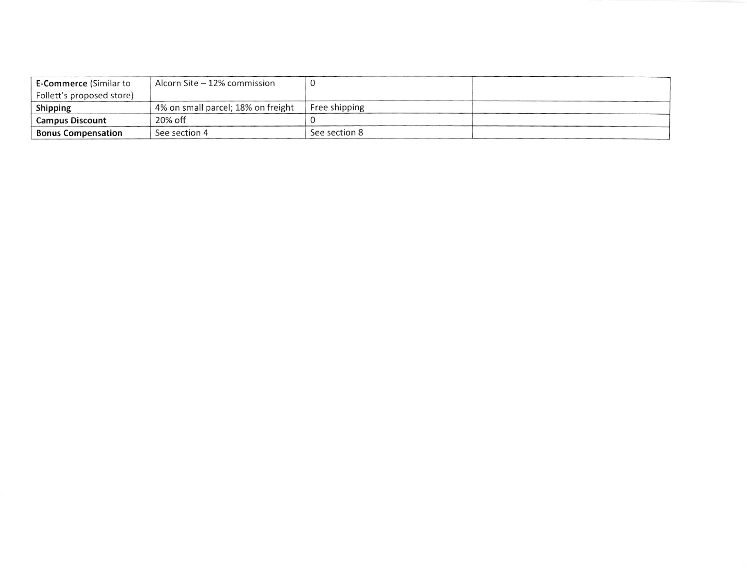| <b>E-Commerce (Similar to</b> | Alcorn Site – 12% commission       |               |
|-------------------------------|------------------------------------|---------------|
| Follett's proposed store)     |                                    |               |
| Shipping                      | 4% on small parcel; 18% on freight | Free shipping |
| <b>Campus Discount</b>        | 20% off                            |               |
| <b>Bonus Compensation</b>     | See section 4                      | See section 8 |